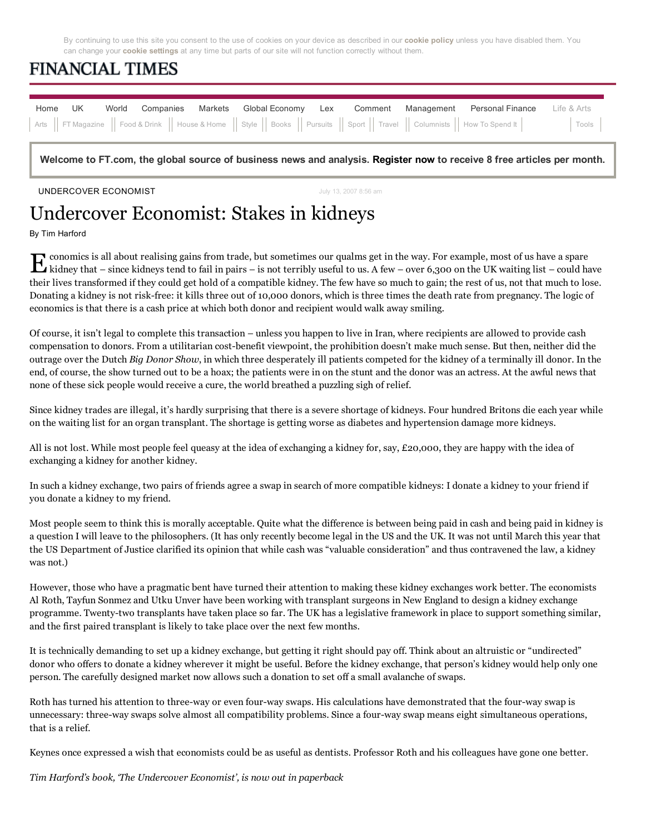By continuing to use this site you consent to the use of cookies on your device as described in our **cookie policy** unless you have disabled them. You can change your **cookie settings** at any time but parts of our site will not function correctly without them.

## **FINANCIAL TIMES**

| Home UK |  |  |  | World Companies Markets Global Economy Lex Comment Management Personal Finance Life & Arts |  |
|---------|--|--|--|--------------------------------------------------------------------------------------------|--|
|         |  |  |  |                                                                                            |  |

Welcome to FT.com, the global source of business news and analysis. Register now to receive 8 free articles per month.

UNDERCOVER ECONOMIST **State of the UNIVERSITY CONCERNATION** July 13, 2007 8:56 am

## Undercover Economist: Stakes in kidneys

By Tim Harford

 $\bf E$  conomics is all about realising gains from trade, but sometimes our qualms get in the way. For example, most of us have a spare kidneys tend to fail in pairs – is not terribly useful to us. A few – over 6,300 on the conomics is all about realising gains from trade, but sometimes our qualms get in the way. For example, most of us have a spare their lives transformed if they could get hold of a compatible kidney. The few have so much to gain; the rest of us, not that much to lose. Donating a kidney is not risk-free: it kills three out of 10,000 donors, which is three times the death rate from pregnancy. The logic of economics is that there is a cash price at which both donor and recipient would walk away smiling.

Of course, it isn't legal to complete this transaction – unless you happen to live in Iran, where recipients are allowed to provide cash compensation to donors. From a utilitarian cost-benefit viewpoint, the prohibition doesn't make much sense. But then, neither did the outrage over the Dutch *Big Donor Show*, in which three desperately ill patients competed for the kidney of a terminally ill donor. In the end, of course, the show turned out to be a hoax; the patients were in on the stunt and the donor was an actress. At the awful news that none of these sick people would receive a cure, the world breathed a puzzling sigh of relief.

Since kidney trades are illegal, it's hardly surprising that there is a severe shortage of kidneys. Four hundred Britons die each year while on the waiting list for an organ transplant. The shortage is getting worse as diabetes and hypertension damage more kidneys.

All is not lost. While most people feel queasy at the idea of exchanging a kidney for, say, £20,000, they are happy with the idea of exchanging a kidney for another kidney.

In such a kidney exchange, two pairs of friends agree a swap in search of more compatible kidneys: I donate a kidney to your friend if you donate a kidney to my friend.

Most people seem to think this is morally acceptable. Quite what the difference is between being paid in cash and being paid in kidney is a question I will leave to the philosophers. (It has only recently become legal in the US and the UK. It was not until March this year that the US Department of Justice clarified its opinion that while cash was "valuable consideration" and thus contravened the law, a kidney was not.)

However, those who have a pragmatic bent have turned their attention to making these kidney exchanges work better. The economists Al Roth, Tayfun Sonmez and Utku Unver have been working with transplant surgeons in New England to design a kidney exchange programme. Twenty-two transplants have taken place so far. The UK has a legislative framework in place to support something similar, and the first paired transplant is likely to take place over the next few months.

It is technically demanding to set up a kidney exchange, but getting it right should pay off. Think about an altruistic or "undirected" donor who offers to donate a kidney wherever it might be useful. Before the kidney exchange, that person's kidney would help only one person. The carefully designed market now allows such a donation to set off a small avalanche of swaps.

Roth has turned his attention to three-way or even four-way swaps. His calculations have demonstrated that the four-way swap is unnecessary: three-way swaps solve almost all compatibility problems. Since a four-way swap means eight simultaneous operations, that is a relief.

Keynes once expressed a wish that economists could be as useful as dentists. Professor Roth and his colleagues have gone one better.

*Tim Harford's book, 'The Undercover Economist', is now out in paperback*